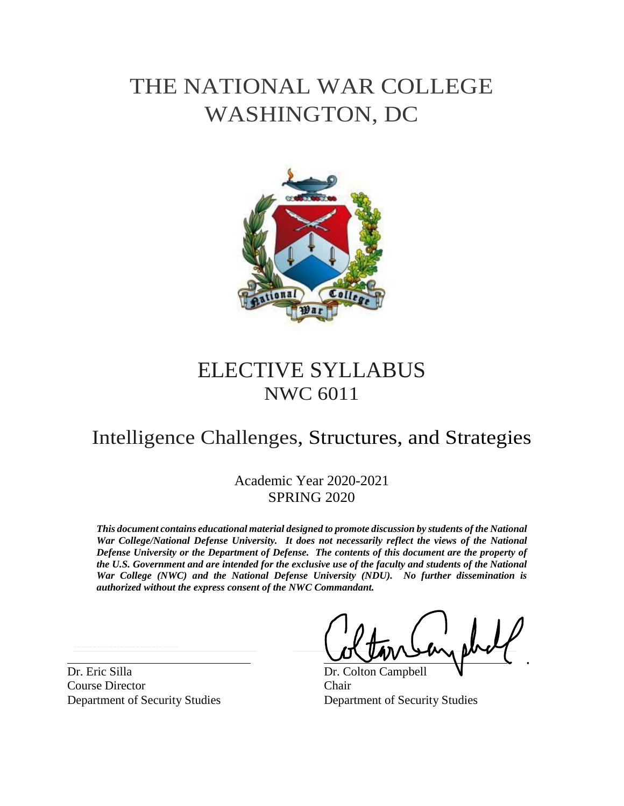# THE NATIONAL WAR COLLEGE WASHINGTON, DC



## ELECTIVE SYLLABUS NWC 6011

## Intelligence Challenges, Structures, and Strategies

Academic Year 2020-2021 SPRING 2020

*This document contains educational material designed to promote discussion by students of the National War College/National Defense University. It does not necessarily reflect the views of the National Defense University or the Department of Defense. The contents of this document are the property of the U.S. Government and are intended for the exclusive use of the faculty and students of the National War College (NWC) and the National Defense University (NDU). No further dissemination is authorized without the express consent of the NWC Commandant.*

Dr. Eric Silla Dr. Colton Campbell Course Director Chair

Department of Security Studies Department of Security Studies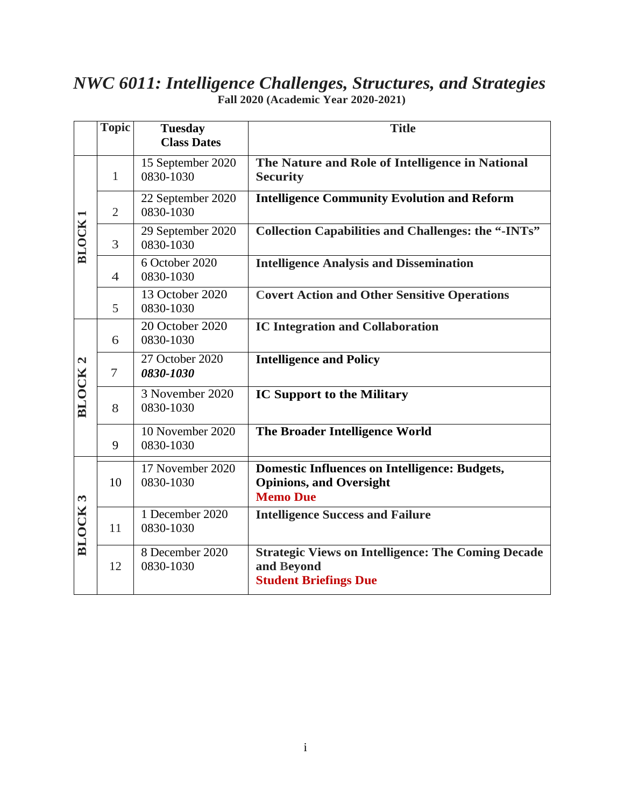## *NWC 6011: Intelligence Challenges, Structures, and Strategies* **Fall 2020 (Academic Year 2020-2021)**

|                              | <b>Topic</b>   | <b>Tuesday</b><br><b>Class Dates</b> | <b>Title</b>                                                                                              |
|------------------------------|----------------|--------------------------------------|-----------------------------------------------------------------------------------------------------------|
| <b>BLOCK</b>                 | $\mathbf{1}$   | 15 September 2020<br>0830-1030       | The Nature and Role of Intelligence in National<br><b>Security</b>                                        |
|                              | $\overline{2}$ | 22 September 2020<br>0830-1030       | <b>Intelligence Community Evolution and Reform</b>                                                        |
|                              | 3              | 29 September 2020<br>0830-1030       | <b>Collection Capabilities and Challenges: the "-INTs"</b>                                                |
|                              | $\overline{4}$ | 6 October 2020<br>0830-1030          | <b>Intelligence Analysis and Dissemination</b>                                                            |
|                              | 5              | 13 October 2020<br>0830-1030         | <b>Covert Action and Other Sensitive Operations</b>                                                       |
| $\mathbf{a}$<br><b>BLOCK</b> | 6              | 20 October 2020<br>0830-1030         | <b>IC Integration and Collaboration</b>                                                                   |
|                              | $\tau$         | 27 October 2020<br>0830-1030         | <b>Intelligence and Policy</b>                                                                            |
|                              | 8              | 3 November 2020<br>0830-1030         | <b>IC Support to the Military</b>                                                                         |
|                              | 9              | 10 November 2020<br>0830-1030        | The Broader Intelligence World                                                                            |
| $\omega$<br><b>BLOCK</b>     | 10             | 17 November 2020<br>0830-1030        | <b>Domestic Influences on Intelligence: Budgets,</b><br><b>Opinions, and Oversight</b><br><b>Memo Due</b> |
|                              | 11             | 1 December 2020<br>0830-1030         | <b>Intelligence Success and Failure</b>                                                                   |
|                              | 12             | 8 December 2020<br>0830-1030         | <b>Strategic Views on Intelligence: The Coming Decade</b><br>and Beyond<br><b>Student Briefings Due</b>   |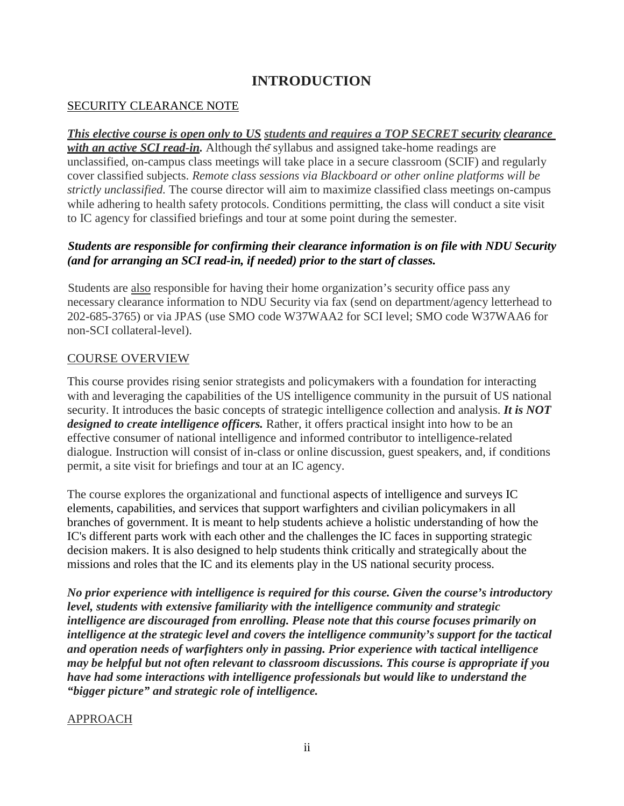## **INTRODUCTION**

#### SECURITY CLEARANCE NOTE

#### *This elective course is open only to US students and requires a TOP SECRET security clearance*

*with an active SCI read-in.* Although the syllabus and assigned take-home readings are unclassified, on-campus class meetings will take place in a secure classroom (SCIF) and regularly cover classified subjects. *Remote class sessions via Blackboard or other online platforms will be strictly unclassified.* The course director will aim to maximize classified class meetings on-campus while adhering to health safety protocols. Conditions permitting, the class will conduct a site visit to IC agency for classified briefings and tour at some point during the semester.

#### *Students are responsible for confirming their clearance information is on file with NDU Security (and for arranging an SCI read-in, if needed) prior to the start of classes.*

Students are also responsible for having their home organization's security office pass any necessary clearance information to NDU Security via fax (send on department/agency letterhead to 202-685-3765) or via JPAS (use SMO code W37WAA2 for SCI level; SMO code W37WAA6 for non-SCI collateral-level).

#### COURSE OVERVIEW

This course provides rising senior strategists and policymakers with a foundation for interacting with and leveraging the capabilities of the US intelligence community in the pursuit of US national security. It introduces the basic concepts of strategic intelligence collection and analysis. *It is NOT designed to create intelligence officers.* Rather, it offers practical insight into how to be an effective consumer of national intelligence and informed contributor to intelligence-related dialogue. Instruction will consist of in-class or online discussion, guest speakers, and, if conditions permit, a site visit for briefings and tour at an IC agency.

The course explores the organizational and functional aspects of intelligence and surveys IC elements, capabilities, and services that support warfighters and civilian policymakers in all branches of government. It is meant to help students achieve a holistic understanding of how the IC's different parts work with each other and the challenges the IC faces in supporting strategic decision makers. It is also designed to help students think critically and strategically about the missions and roles that the IC and its elements play in the US national security process.

*No prior experience with intelligence is required for this course. Given the course's introductory level, students with extensive familiarity with the intelligence community and strategic intelligence are discouraged from enrolling. Please note that this course focuses primarily on intelligence at the strategic level and covers the intelligence community's support for the tactical and operation needs of warfighters only in passing. Prior experience with tactical intelligence may be helpful but not often relevant to classroom discussions. This course is appropriate if you have had some interactions with intelligence professionals but would like to understand the "bigger picture" and strategic role of intelligence.*

#### APPROACH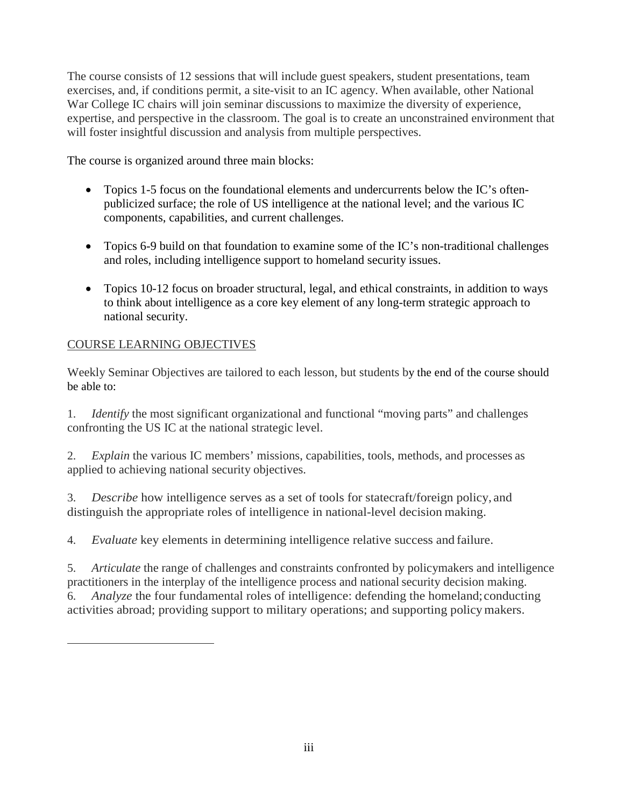The course consists of 12 sessions that will include guest speakers, student presentations, team exercises, and, if conditions permit, a site-visit to an IC agency. When available, other National War College IC chairs will join seminar discussions to maximize the diversity of experience, expertise, and perspective in the classroom. The goal is to create an unconstrained environment that will foster insightful discussion and analysis from multiple perspectives.

The course is organized around three main blocks:

- Topics 1-5 focus on the foundational elements and undercurrents below the IC's oftenpublicized surface; the role of US intelligence at the national level; and the various IC components, capabilities, and current challenges.
- Topics 6-9 build on that foundation to examine some of the IC's non-traditional challenges and roles, including intelligence support to homeland security issues.
- Topics 10-12 focus on broader structural, legal, and ethical constraints, in addition to ways to think about intelligence as a core key element of any long-term strategic approach to national security.

#### COURSE LEARNING OBJECTIVES

Weekly Seminar Objectives are tailored to each lesson, but students by the end of the course should be able to:

1. *Identify* the most significant organizational and functional "moving parts" and challenges confronting the US IC at the national strategic level.

2. *Explain* the various IC members' missions, capabilities, tools, methods, and processes as applied to achieving national security objectives.

3. *Describe* how intelligence serves as a set of tools for statecraft/foreign policy, and distinguish the appropriate roles of intelligence in national-level decision making.

4. *Evaluate* key elements in determining intelligence relative success and failure.

5. *Articulate* the range of challenges and constraints confronted by policymakers and intelligence practitioners in the interplay of the intelligence process and national security decision making. 6. *Analyze* the four fundamental roles of intelligence: defending the homeland;conducting activities abroad; providing support to military operations; and supporting policymakers.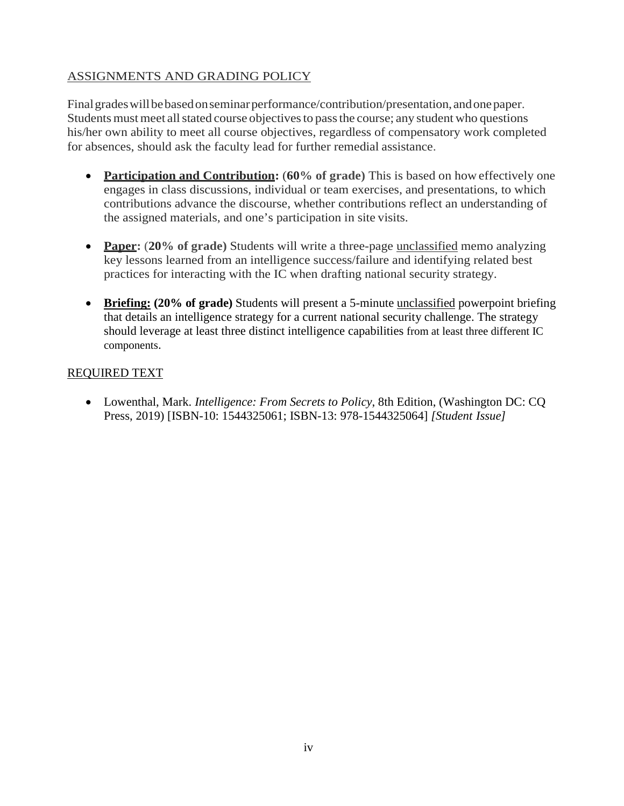### ASSIGNMENTS AND GRADING POLICY

Final grades will be based on seminar performance/contribution/presentation, and one paper. Students must meet all stated course objectives to pass the course; any student who questions his/her own ability to meet all course objectives, regardless of compensatory work completed for absences, should ask the faculty lead for further remedial assistance.

- **Participation and Contribution: (60% of grade)** This is based on how effectively one engages in class discussions, individual or team exercises, and presentations, to which contributions advance the discourse, whether contributions reflect an understanding of the assigned materials, and one's participation in site visits.
- **Paper:** (20% of grade) Students will write a three-page unclassified memo analyzing key lessons learned from an intelligence success/failure and identifying related best practices for interacting with the IC when drafting national security strategy.
- **Briefing: (20% of grade)** Students will present a 5-minute unclassified powerpoint briefing that details an intelligence strategy for a current national security challenge. The strategy should leverage at least three distinct intelligence capabilities from at least three different IC components.

#### REQUIRED TEXT

• Lowenthal, Mark. *Intelligence: From Secrets to Policy*, 8th Edition, (Washington DC: CQ Press, 2019) [ISBN-10: 1544325061; ISBN-13: 978-1544325064] *[Student Issue]*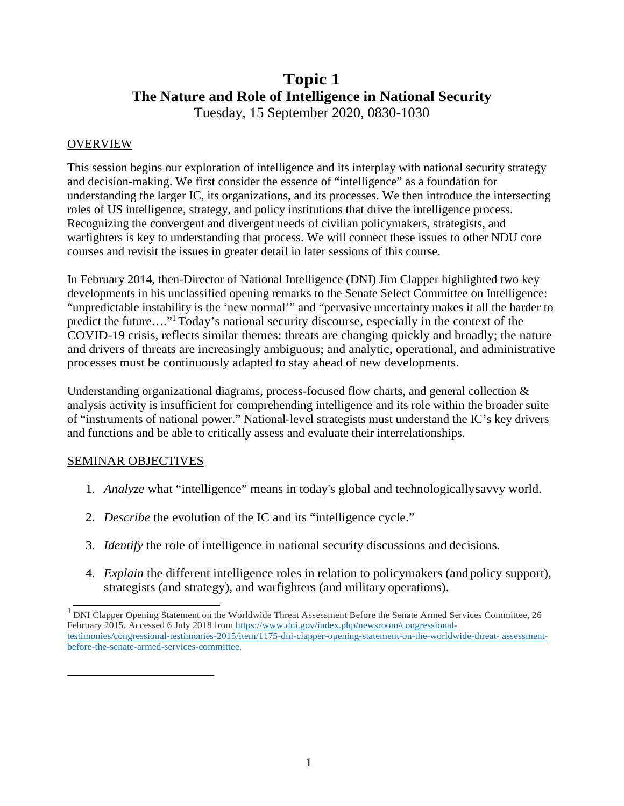## **Topic 1 The Nature and Role of Intelligence in National Security**

Tuesday, 15 September 2020, 0830-1030

#### **OVERVIEW**

This session begins our exploration of intelligence and its interplay with national security strategy and decision-making. We first consider the essence of "intelligence" as a foundation for understanding the larger IC, its organizations, and its processes. We then introduce the intersecting roles of US intelligence, strategy, and policy institutions that drive the intelligence process. Recognizing the convergent and divergent needs of civilian policymakers, strategists, and warfighters is key to understanding that process. We will connect these issues to other NDU core courses and revisit the issues in greater detail in later sessions of this course.

In February 2014, then-Director of National Intelligence (DNI) Jim Clapper highlighted two key developments in his unclassified opening remarks to the Senate Select Committee on Intelligence: "unpredictable instability is the 'new normal'" and "pervasive uncertainty makes it all the harder to predict the future…."1 Today's national security discourse, especially in the context of the COVID-19 crisis, reflects similar themes: threats are changing quickly and broadly; the nature and drivers of threats are increasingly ambiguous; and analytic, operational, and administrative processes must be continuously adapted to stay ahead of new developments.

Understanding organizational diagrams, process-focused flow charts, and general collection & analysis activity is insufficient for comprehending intelligence and its role within the broader suite of "instruments of national power." National-level strategists must understand the IC's key drivers and functions and be able to critically assess and evaluate their interrelationships.

#### SEMINAR OBJECTIVES

- 1. *Analyze* what "intelligence" means in today's global and technologicallysavvy world.
- 2. *Describe* the evolution of the IC and its "intelligence cycle."
- 3. *Identify* the role of intelligence in national security discussions and decisions.
- 4. *Explain* the different intelligence roles in relation to policymakers (and policy support), strategists (and strategy), and warfighters (and military operations).

<sup>&</sup>lt;sup>1</sup> DNI Clapper Opening Statement on the Worldwide Threat Assessment Before the Senate Armed Services Committee, 26 February 2015. Accessed 6 July 2018 from [https://www.dni.gov/index.php/newsroom/congressional](https://www.dni.gov/index.php/newsroom/congressional-testimonies/congressional-testimonies-2015/item/1175-dni-clapper-opening-statement-on-the-worldwide-threat-assessment-before-the-senate-armed-services-committee)[testimonies/congressional-testimonies-2015/item/1175-dni-clapper-opening-statement-on-the-worldwide-threat-](https://www.dni.gov/index.php/newsroom/congressional-testimonies/congressional-testimonies-2015/item/1175-dni-clapper-opening-statement-on-the-worldwide-threat-assessment-before-the-senate-armed-services-committee) [assessment](https://www.dni.gov/index.php/newsroom/congressional-testimonies/congressional-testimonies-2015/item/1175-dni-clapper-opening-statement-on-the-worldwide-threat-assessment-before-the-senate-armed-services-committee)[before-the-senate-armed-services-committee.](https://www.dni.gov/index.php/newsroom/congressional-testimonies/congressional-testimonies-2015/item/1175-dni-clapper-opening-statement-on-the-worldwide-threat-assessment-before-the-senate-armed-services-committee)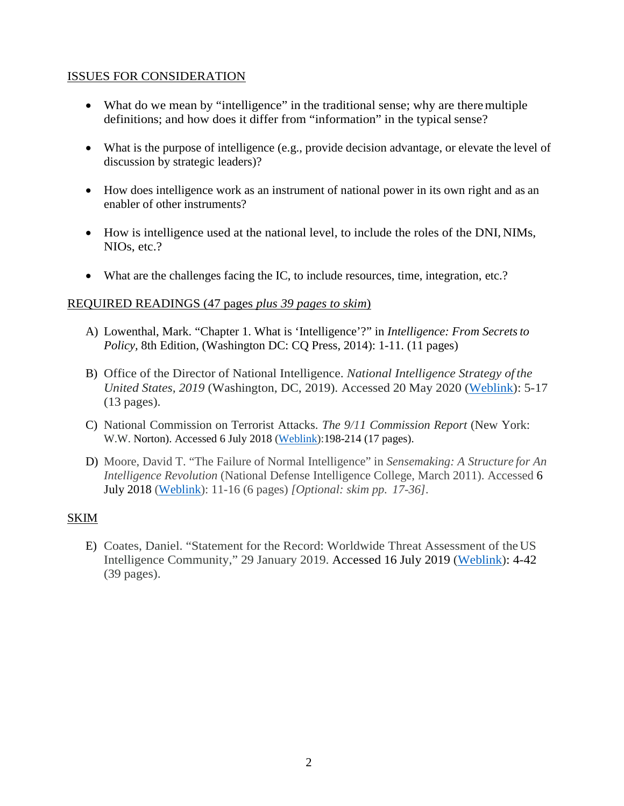#### ISSUES FOR CONSIDERATION

- What do we mean by "intelligence" in the traditional sense; why are there multiple definitions; and how does it differ from "information" in the typical sense?
- What is the purpose of intelligence (e.g., provide decision advantage, or elevate the level of discussion by strategic leaders)?
- How does intelligence work as an instrument of national power in its own right and as an enabler of other instruments?
- How is intelligence used at the national level, to include the roles of the DNI, NIMs, NIOs, etc.?
- What are the challenges facing the IC, to include resources, time, integration, etc.?

#### REQUIRED READINGS (47 pages *plus 39 pages to skim*)

- A) Lowenthal, Mark. "Chapter 1. What is 'Intelligence'?" in *Intelligence: From Secretsto Policy, 8th Edition, (Washington DC: CQ Press, 2014): 1-11. (11 pages)*
- B) Office of the Director of National Intelligence. *National Intelligence Strategy of the United States, 2019* (Washington, DC, 2019). Accessed 20 May 2020 [\(Weblink\)](https://www.dni.gov/files/ODNI/documents/National_Intelligence_Strategy_2019.pdf): 5-17 (13 pages).
- C) National Commission on Terrorist Attacks. *The 9/11 Commission Report* (New York: W.W. Norton). Accessed 6 July 2018 [\(Weblink\)](http://govinfo.library.unt.edu/911/report/911Report.pdf):198-214 (17 pages).
- D) Moore, David T. "The Failure of Normal Intelligence" in *Sensemaking: A Structure for An Intelligence Revolution* (National Defense Intelligence College, March 2011). Accessed 6 July 2018 [\(Weblink\)](http://ni-u.edu/ni_press/pdf/Sensemaking.pdf): 11-16 (6 pages) *[Optional: skim pp. 17-36].*

#### SKIM

E) Coates, Daniel. "Statement for the Record: Worldwide Threat Assessment of theUS Intelligence Community," 29 January 2019. Accessed 16 July 2019 [\(Weblink\)](https://www.dni.gov/files/documents/Newsroom/Testimonies/Final-2018-ATA---Unclassified---SASC.pdf): 4-42 (39 pages).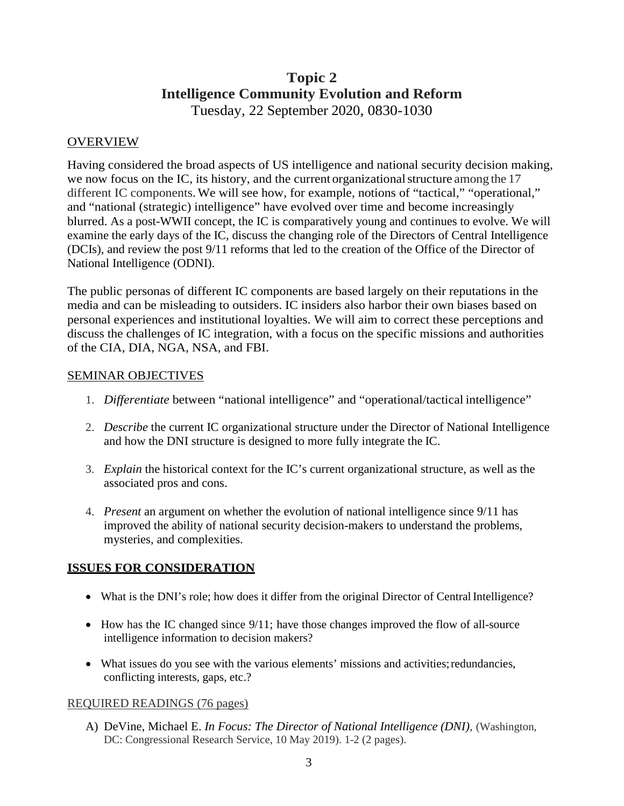## **Topic 2 Intelligence Community Evolution and Reform** Tuesday, 22 September 2020, 0830-1030

#### OVERVIEW

Having considered the broad aspects of US intelligence and national security decision making, we now focus on the IC, its history, and the current organizationalstructure among the 17 different IC components.We will see how, for example, notions of "tactical," "operational," and "national (strategic) intelligence" have evolved over time and become increasingly blurred. As a post-WWII concept, the IC is comparatively young and continues to evolve. We will examine the early days of the IC, discuss the changing role of the Directors of Central Intelligence (DCIs), and review the post 9/11 reforms that led to the creation of the Office of the Director of National Intelligence (ODNI).

The public personas of different IC components are based largely on their reputations in the media and can be misleading to outsiders. IC insiders also harbor their own biases based on personal experiences and institutional loyalties. We will aim to correct these perceptions and discuss the challenges of IC integration, with a focus on the specific missions and authorities of the CIA, DIA, NGA, NSA, and FBI.

#### SEMINAR OBJECTIVES

- 1. *Differentiate* between "national intelligence" and "operational/tactical intelligence"
- 2. *Describe* the current IC organizational structure under the Director of National Intelligence and how the DNI structure is designed to more fully integrate the IC.
- 3. *Explain* the historical context for the IC's current organizational structure, as well as the associated pros and cons.
- 4. *Present* an argument on whether the evolution of national intelligence since 9/11 has improved the ability of national security decision-makers to understand the problems, mysteries, and complexities.

#### **ISSUES FOR CONSIDERATION**

- What is the DNI's role; how does it differ from the original Director of Central Intelligence?
- How has the IC changed since  $9/11$ ; have those changes improved the flow of all-source intelligence information to decision makers?
- What issues do you see with the various elements' missions and activities; redundancies, conflicting interests, gaps, etc.?

#### REQUIRED READINGS (76 pages)

A) DeVine, Michael E. *In Focus: The Director of National Intelligence (DNI),* (Washington, DC: Congressional Research Service, 10 May 2019). 1-2 (2 pages).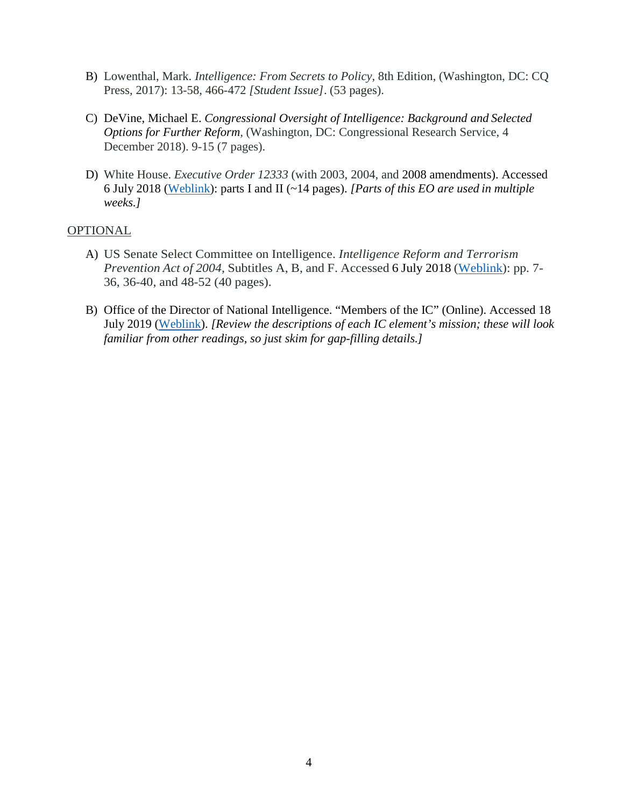- B) Lowenthal, Mark. *Intelligence: From Secrets to Policy,* 8th Edition, (Washington, DC: CQ Press, 2017): 13-58, 466-472 *[Student Issue]*. (53 pages).
- C) DeVine, Michael E. *Congressional Oversight of Intelligence: Background and Selected Options for Further Reform,* (Washington, DC: Congressional Research Service, 4 December 2018). 9-15 (7 pages).
- D) White House. *Executive Order 12333* (with 2003, 2004, and 2008 amendments). Accessed 6 July 2018 [\(Weblink\)](https://www.dni.gov/index.php/ic-legal-reference-book/executive-order-12333): parts I and II (~14 pages). *[Parts of this EO are used in multiple weeks.]*

#### OPTIONAL

- A) US Senate Select Committee on Intelligence. *Intelligence Reform and Terrorism Prevention Act of 2004,* Subtitles A, B, and F. Accessed 6 July 2018 [\(Weblink\)](https://www.intelligence.senate.gov/sites/default/files/laws/pl108-458.pdf): pp. 7- 36, 36-40, and 48-52 (40 pages).
- B) Office of the Director of National Intelligence. "Members of the IC" (Online). Accessed 18 July 2019 [\(Weblink\)](https://www.dni.gov/index.php/what-we-do/members-of-the-ic). *[Review the descriptions of each IC element's mission; these will look familiar from other readings, so just skim for gap-filling details.]*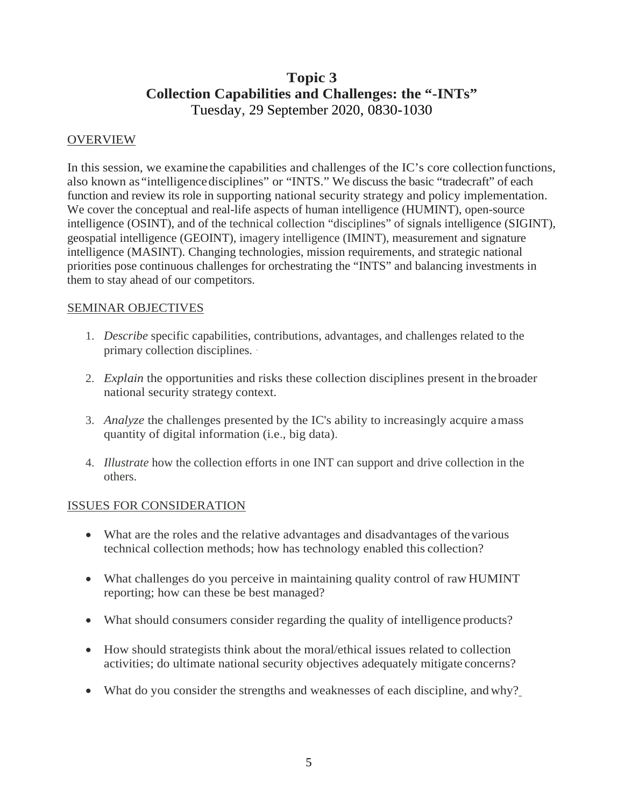## **Topic 3 Collection Capabilities and Challenges: the "-INTs"** Tuesday, 29 September 2020, 0830-1030

#### **OVERVIEW**

In this session, we examine the capabilities and challenges of the IC's core collectionfunctions, also known as "intelligencedisciplines" or "INTS." We discuss the basic "tradecraft" of each function and review its role in supporting national security strategy and policy implementation. We cover the conceptual and real-life aspects of human intelligence (HUMINT), open-source intelligence (OSINT), and of the technical collection "disciplines" of signals intelligence (SIGINT), geospatial intelligence (GEOINT), imagery intelligence (IMINT), measurement and signature intelligence (MASINT). Changing technologies, mission requirements, and strategic national priorities pose continuous challenges for orchestrating the "INTS" and balancing investments in them to stay ahead of our competitors.

#### SEMINAR OBJECTIVES

- 1. *Describe* specific capabilities, contributions, advantages, and challenges related to the primary collection disciplines. ·
- 2. *Explain* the opportunities and risks these collection disciplines present in thebroader national security strategy context.
- 3. *Analyze* the challenges presented by the IC's ability to increasingly acquire amass quantity of digital information (i.e., big data).
- 4. *Illustrate* how the collection efforts in one INT can support and drive collection in the others.

#### ISSUES FOR CONSIDERATION

- What are the roles and the relative advantages and disadvantages of the various technical collection methods; how has technology enabled this collection?
- What challenges do you perceive in maintaining quality control of raw HUMINT reporting; how can these be best managed?
- What should consumers consider regarding the quality of intelligence products?
- How should strategists think about the moral/ethical issues related to collection activities; do ultimate national security objectives adequately mitigate concerns?
- What do you consider the strengths and weaknesses of each discipline, and why?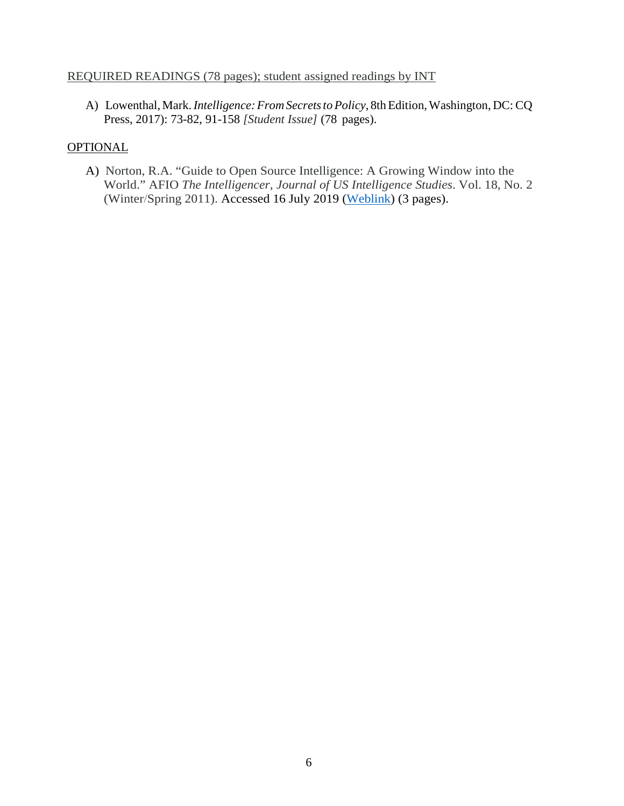#### REQUIRED READINGS (78 pages); student assigned readings by INT

A) Lowenthal, Mark. *Intelligence: From Secrets to Policy*, 8th Edition, Washington, DC: CQ Press, 2017): 73-82, 91-158 *[Student Issue]* (78 pages).

#### **OPTIONAL**

A) Norton, R.A. "Guide to Open Source Intelligence: A Growing Window into the World." AFIO *The Intelligencer, Journal of US Intelligence Studies*. Vol. 18, No. 2 (Winter/Spring 2011). Accessed 16 July 2019 [\(Weblink\)](https://www.afio.com/publications/Norton_Open_Source_in_AFIO_INTEL_WinterSpring2011.pdf) (3 pages).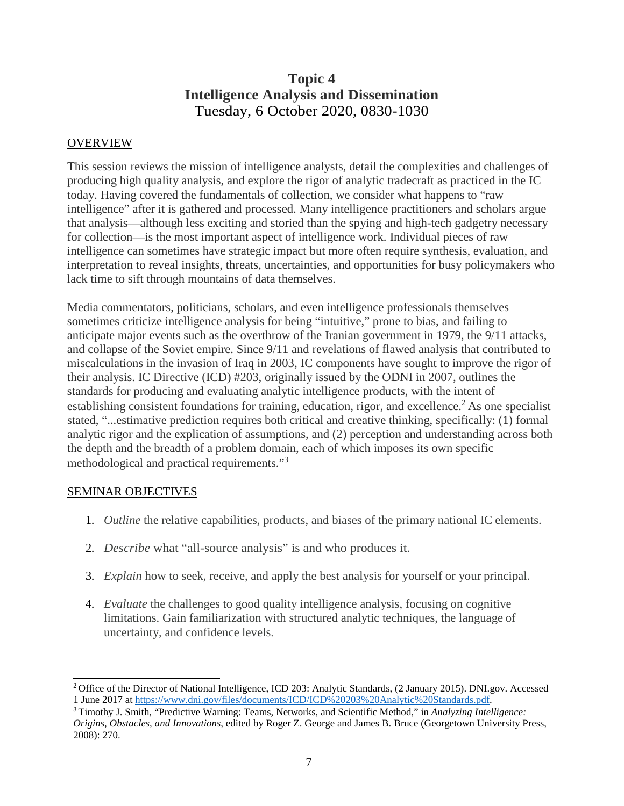## **Topic 4 Intelligence Analysis and Dissemination** Tuesday, 6 October 2020, 0830-1030

#### OVERVIEW

This session reviews the mission of intelligence analysts, detail the complexities and challenges of producing high quality analysis, and explore the rigor of analytic tradecraft as practiced in the IC today. Having covered the fundamentals of collection, we consider what happens to "raw intelligence" after it is gathered and processed. Many intelligence practitioners and scholars argue that analysis—although less exciting and storied than the spying and high-tech gadgetry necessary for collection—is the most important aspect of intelligence work. Individual pieces of raw intelligence can sometimes have strategic impact but more often require synthesis, evaluation, and interpretation to reveal insights, threats, uncertainties, and opportunities for busy policymakers who lack time to sift through mountains of data themselves.

Media commentators, politicians, scholars, and even intelligence professionals themselves sometimes criticize intelligence analysis for being "intuitive," prone to bias, and failing to anticipate major events such as the overthrow of the Iranian government in 1979, the 9/11 attacks, and collapse of the Soviet empire. Since 9/11 and revelations of flawed analysis that contributed to miscalculations in the invasion of Iraq in 2003, IC components have sought to improve the rigor of their analysis. IC Directive (ICD) #203, originally issued by the ODNI in 2007, outlines the standards for producing and evaluating analytic intelligence products, with the intent of establishing consistent foundations for training, education, rigor, and excellence.<sup>2</sup> As one specialist stated, "...estimative prediction requires both critical and creative thinking, specifically: (1) formal analytic rigor and the explication of assumptions, and (2) perception and understanding across both the depth and the breadth of a problem domain, each of which imposes its own specific methodological and practical requirements."3

#### SEMINAR OBJECTIVES

- 1. *Outline* the relative capabilities, products, and biases of the primary national IC elements.
- 2. *Describe* what "all-source analysis" is and who produces it.
- 3. *Explain* how to seek, receive, and apply the best analysis for yourself or your principal.
- 4. *Evaluate* the challenges to good quality intelligence analysis, focusing on cognitive limitations. Gain familiarization with structured analytic techniques, the language of uncertainty, and confidence levels.

<sup>&</sup>lt;sup>2</sup> Office of the Director of National Intelligence, ICD 203: Analytic Standards, (2 January 2015). DNI.gov. Accessed 1 June 2017 a[t https://www.dni.gov/files/documents/ICD/ICD%20203%20Analytic%20Standards.pdf.](https://www.dni.gov/files/documents/ICD/ICD%20203%20Analytic%20Standards.pdf)

<sup>3</sup> Timothy J. Smith, "Predictive Warning: Teams, Networks, and Scientific Method," in *Analyzing Intelligence: Origins, Obstacles, and Innovations*, edited by Roger Z. George and James B. Bruce (Georgetown University Press, 2008): 270.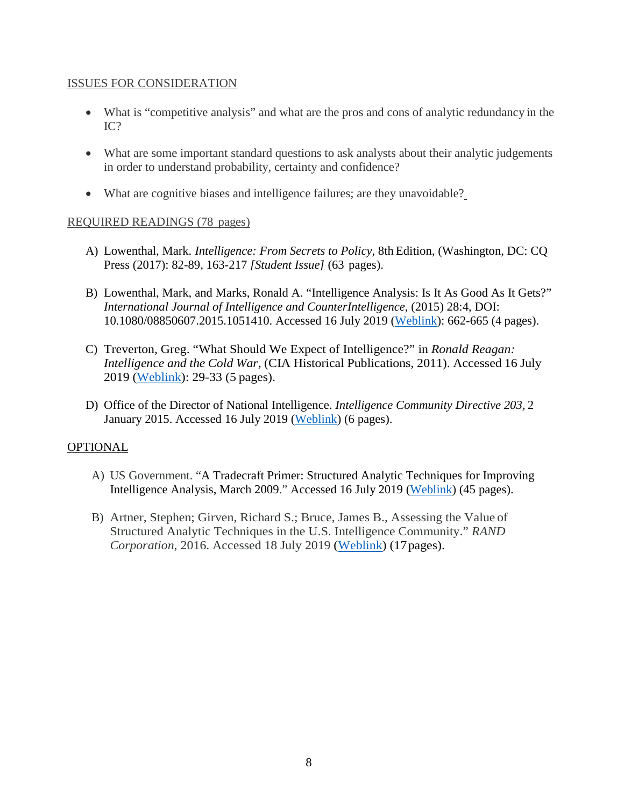#### ISSUES FOR CONSIDERATION

- What is "competitive analysis" and what are the pros and cons of analytic redundancy in the IC?
- What are some important standard questions to ask analysts about their analytic judgements in order to understand probability, certainty and confidence?
- What are cognitive biases and intelligence failures; are they unavoidable?

#### REQUIRED READINGS (78 pages)

- A) Lowenthal, Mark. *Intelligence: From Secrets to Policy*, 8th Edition, (Washington, DC: CQ Press (2017): 82-89, 163-217 *[Student Issue]* (63 pages).
- B) Lowenthal, Mark, and Marks, Ronald A. "Intelligence Analysis: Is It As Good As It Gets?" *International Journal of Intelligence and CounterIntelligence*, (2015) 28:4, DOI: 10.1080/08850607.2015.1051410. Accessed 16 July 2019 [\(Weblink\)](http://dx.doi.org/10.1080/08850607.2015.1051410): 662-665 (4 pages).
- C) Treverton, Greg. "What Should We Expect of Intelligence?" in *Ronald Reagan: Intelligence and the Cold War*, (CIA Historical Publications, 2011). Accessed 16 July 2019 [\(Weblink\)](https://www.cia.gov/library/publications/cold-war/ronald-reagan-intelligence-and-the-end-of-the-cold-war): 29-33 (5 pages).
- D) Office of the Director of National Intelligence. *Intelligence Community Directive 203,* 2 January 2015. Accessed 16 July 2019 [\(Weblink\)](https://www.dni.gov/files/documents/ICD/ICD%20203%20Analytic%20Standards.pdf) (6 pages).

#### OPTIONAL

- A) US Government. "A Tradecraft Primer: Structured Analytic Techniques for Improving Intelligence Analysis, March 2009." Accessed 16 July 2019 [\(Weblink\)](https://www.cia.gov/library/center-for-the-study-of-intelligence/csi-publications/books-and-monographs/Tradecraft%20Primer-apr09.pdf) (45 pages).
- B) Artner, Stephen; Girven, Richard S.; Bruce, James B., Assessing the Value of Structured Analytic Techniques in the U.S. Intelligence Community." *RAND Corporation*, 2016. Accessed 18 July 2019 [\(Weblink\)](https://www.rand.org/pubs/research_reports/RR1408.html) (17pages).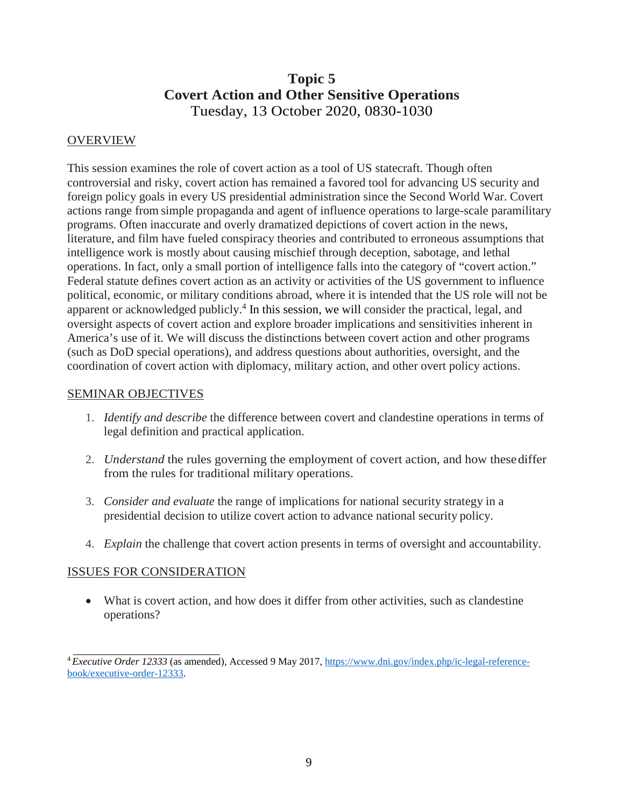## **Topic 5 Covert Action and Other Sensitive Operations** Tuesday, 13 October 2020, 0830-1030

#### OVERVIEW

This session examines the role of covert action as a tool of US statecraft. Though often controversial and risky, covert action has remained a favored tool for advancing US security and foreign policy goals in every US presidential administration since the Second World War. Covert actions range from simple propaganda and agent of influence operations to large-scale paramilitary programs. Often inaccurate and overly dramatized depictions of covert action in the news, literature, and film have fueled conspiracy theories and contributed to erroneous assumptions that intelligence work is mostly about causing mischief through deception, sabotage, and lethal operations. In fact, only a small portion of intelligence falls into the category of "covert action." Federal statute defines covert action as an activity or activities of the US government to influence political, economic, or military conditions abroad, where it is intended that the US role will not be apparent or acknowledged publicly.4 In this session, we will consider the practical, legal, and oversight aspects of covert action and explore broader implications and sensitivities inherent in America's use of it. We will discuss the distinctions between covert action and other programs (such as DoD special operations), and address questions about authorities, oversight, and the coordination of covert action with diplomacy, military action, and other overt policy actions.

#### SEMINAR OBJECTIVES

- 1. *Identify and describe* the difference between covert and clandestine operations in terms of legal definition and practical application.
- 2. *Understand* the rules governing the employment of covert action, and how these differ from the rules for traditional military operations.
- 3. *Consider and evaluate* the range of implications for national security strategy in a presidential decision to utilize covert action to advance national security policy.
- 4. *Explain* the challenge that covert action presents in terms of oversight and accountability.

#### ISSUES FOR CONSIDERATION

• What is covert action, and how does it differ from other activities, such as clandestine operations?

<sup>4</sup> *Executive Order 12333* (as amended), Accessed 9 May 2017, [https://www.dni.gov/index.php/ic-legal-reference](https://www.dni.gov/index.php/ic-legal-reference-book/executive-order-12333)[book/executive-order-12333.](https://www.dni.gov/index.php/ic-legal-reference-book/executive-order-12333)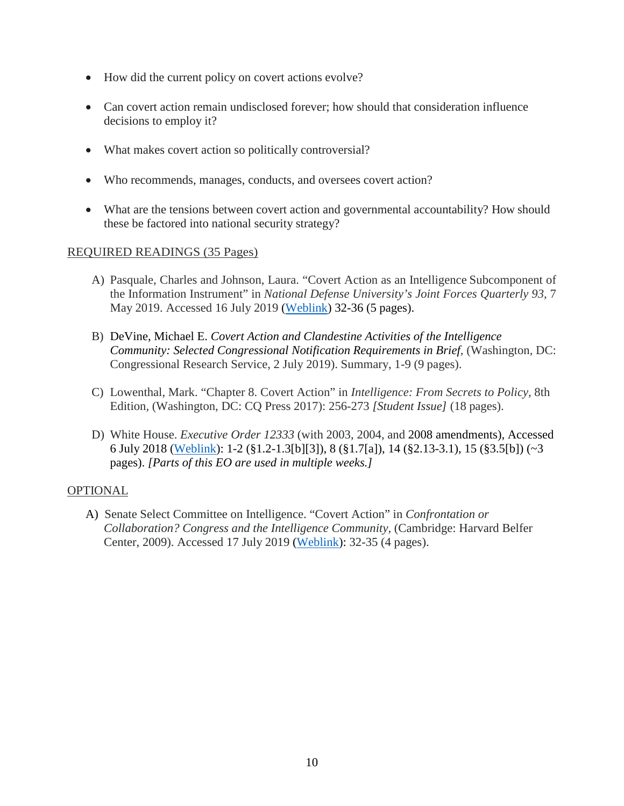- How did the current policy on covert actions evolve?
- Can covert action remain undisclosed forever; how should that consideration influence decisions to employ it?
- What makes covert action so politically controversial?
- Who recommends, manages, conducts, and oversees covert action?
- What are the tensions between covert action and governmental accountability? How should these be factored into national security strategy?

#### REQUIRED READINGS (35 Pages)

- A) Pasquale, Charles and Johnson, Laura. "Covert Action as an Intelligence Subcomponent of the Information Instrument" in *National Defense University's Joint Forces Quarterly 93,* 7 May 2019. Accessed 16 July 2019 [\(Weblink\)](https://www.dni.gov/index.php/ic-legal-reference-book/executive-order-12333) 32-36 (5 pages).
- B) DeVine, Michael E. *Covert Action and Clandestine Activities of the Intelligence Community: Selected Congressional Notification Requirements in Brief, (Washington, DC:* Congressional Research Service, 2 July 2019). Summary, 1-9 (9 pages).
- C) Lowenthal, Mark. "Chapter 8. Covert Action" in *Intelligence: From Secrets to Policy,* 8th Edition*,* (Washington, DC: CQ Press 2017): 256-273 *[Student Issue]* (18 pages).
- D) White House. *Executive Order 12333* (with 2003, 2004, and 2008 amendments), Accessed 6 July 2018 [\(Weblink\)](https://www.dni.gov/index.php/ic-legal-reference-book/executive-order-12333): 1-2 (§1.2-1.3[b][3]), 8 (§1.7[a]), 14 (§2.13-3.1), 15 (§3.5[b]) (~3 pages). *[Parts of this EO are used in multiple weeks.]*

#### OPTIONAL

A) Senate Select Committee on Intelligence. "Covert Action" in *Confrontation or Collaboration? Congress and the Intelligence Community,* (Cambridge: Harvard Belfer Center, 2009). Accessed 17 July 2019 [\(Weblink\)](http://www.belfercenter.org/sites/default/files/files/publication/IC-book-finalasof12JUNE.pdf): 32-35 (4 pages).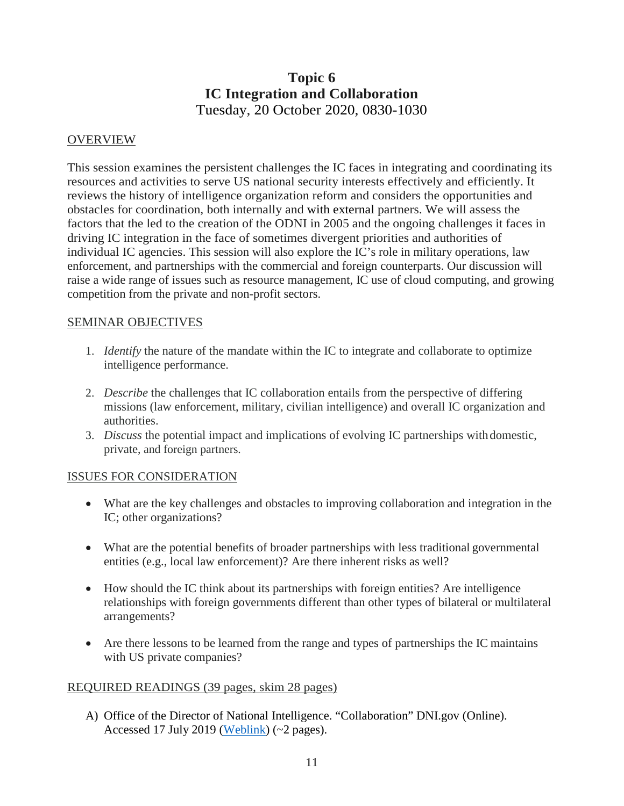## **Topic 6 IC Integration and Collaboration** Tuesday, 20 October 2020, 0830-1030

#### **OVERVIEW**

This session examines the persistent challenges the IC faces in integrating and coordinating its resources and activities to serve US national security interests effectively and efficiently. It reviews the history of intelligence organization reform and considers the opportunities and obstacles for coordination, both internally and with external partners. We will assess the factors that the led to the creation of the ODNI in 2005 and the ongoing challenges it faces in driving IC integration in the face of sometimes divergent priorities and authorities of individual IC agencies. This session will also explore the IC's role in military operations, law enforcement, and partnerships with the commercial and foreign counterparts. Our discussion will raise a wide range of issues such as resource management, IC use of cloud computing, and growing competition from the private and non-profit sectors.

#### SEMINAR OBJECTIVES

- 1. *Identify* the nature of the mandate within the IC to integrate and collaborate to optimize intelligence performance.
- 2. *Describe* the challenges that IC collaboration entails from the perspective of differing missions (law enforcement, military, civilian intelligence) and overall IC organization and authorities.
- 3. *Discuss* the potential impact and implications of evolving IC partnerships withdomestic, private, and foreign partners.

#### ISSUES FOR CONSIDERATION

- What are the key challenges and obstacles to improving collaboration and integration in the IC; other organizations?
- What are the potential benefits of broader partnerships with less traditional governmental entities (e.g., local law enforcement)? Are there inherent risks as well?
- How should the IC think about its partnerships with foreign entities? Are intelligence relationships with foreign governments different than other types of bilateral or multilateral arrangements?
- Are there lessons to be learned from the range and types of partnerships the IC maintains with US private companies?

#### REQUIRED READINGS (39 pages, skim 28 pages)

A) Office of the Director of National Intelligence. "Collaboration" DNI.gov (Online). Accessed 17 July 2019 [\(Weblink\)](https://www.dni.gov/index.php/how-we-work/collaboration) (~2 pages).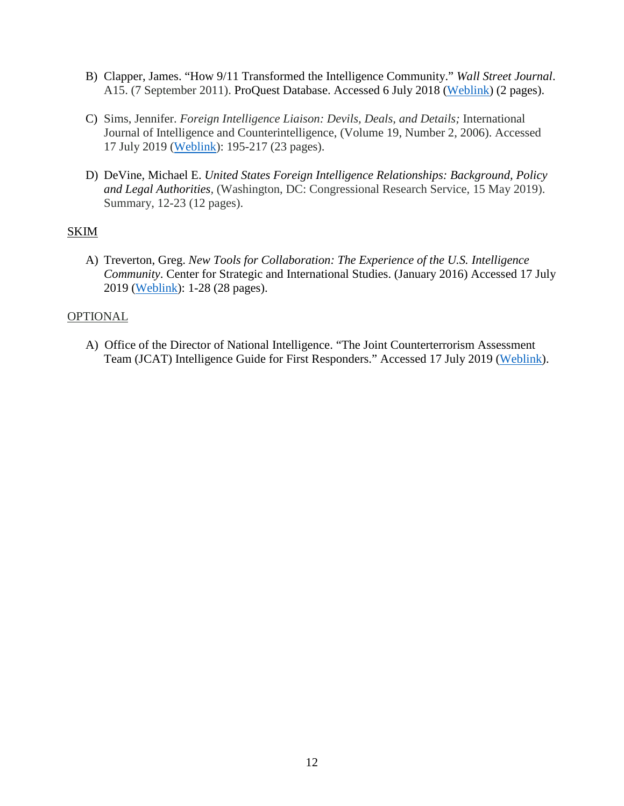- B) Clapper, James. "How 9/11 Transformed the Intelligence Community." *Wall Street Journal*. A15. (7 September 2011). ProQuest Database. Accessed 6 July 2018 [\(Weblink\)](http://search.proquest.com.nduezproxy.idm.oclc.org/docview/887749450?accountid=12686) (2 pages).
- C) Sims, Jennifer. *Foreign Intelligence Liaison: Devils, Deals, and Details;* International Journal of Intelligence and Counterintelligence, (Volume 19, Number 2, 2006). Accessed 17 July 2019 [\(Weblink\)](https://www-tandfonline-com.nduezproxy.idm.oclc.org/doi/full/10.1080/08850600500483657): 195-217 (23 pages).
- D) DeVine, Michael E. *United States Foreign Intelligence Relationships: Background, Policy and Legal Authorities,* (Washington, DC: Congressional Research Service, 15 May 2019). Summary, 12-23 (12 pages).

#### **SKIM**

A) Treverton, Greg. *New Tools for Collaboration: The Experience of the U.S. Intelligence Community*. Center for Strategic and International Studies. (January 2016) Accessed 17 July 2019 [\(Weblink\)](https://csis-prod.s3.amazonaws.com/s3fs-public/legacy_files/files/publication/160111_Treverton_NewTools_Web.pdf): 1-28 (28 pages).

#### **OPTIONAL**

A) Office of the Director of National Intelligence. "The Joint Counterterrorism Assessment Team (JCAT) Intelligence Guide for First Responders." Accessed 17 July 2019 [\(Weblink\)](https://www.dni.gov/nctc/jcat/jcat_ctguide/intel_guide.html).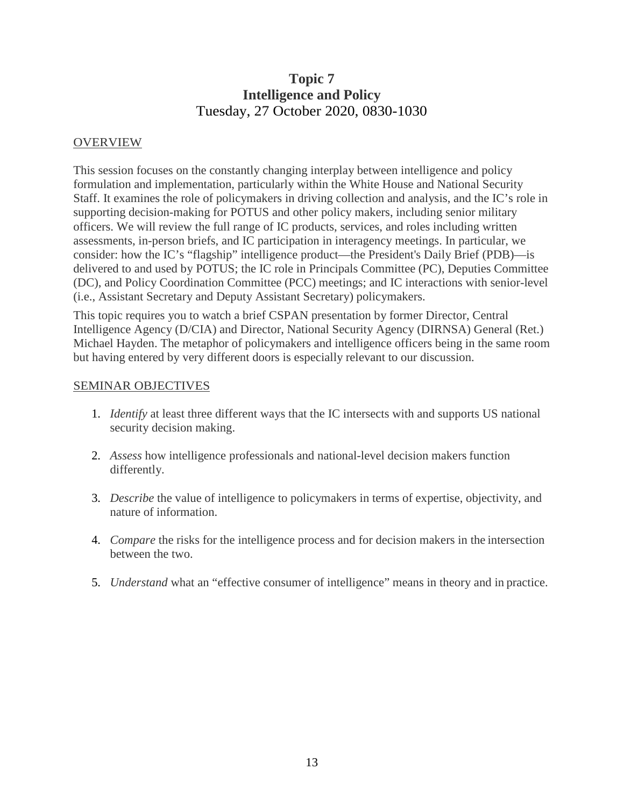## **Topic 7 Intelligence and Policy** Tuesday, 27 October 2020, 0830-1030

#### OVERVIEW

This session focuses on the constantly changing interplay between intelligence and policy formulation and implementation, particularly within the White House and National Security Staff. It examines the role of policymakers in driving collection and analysis, and the IC's role in supporting decision-making for POTUS and other policy makers, including senior military officers. We will review the full range of IC products, services, and roles including written assessments, in-person briefs, and IC participation in interagency meetings. In particular, we consider: how the IC's "flagship" intelligence product—the President's Daily Brief (PDB)—is delivered to and used by POTUS; the IC role in Principals Committee (PC), Deputies Committee (DC), and Policy Coordination Committee (PCC) meetings; and IC interactions with senior-level (i.e., Assistant Secretary and Deputy Assistant Secretary) policymakers.

This topic requires you to watch a brief CSPAN presentation by former Director, Central Intelligence Agency (D/CIA) and Director, National Security Agency (DIRNSA) General (Ret.) Michael Hayden. The metaphor of policymakers and intelligence officers being in the same room but having entered by very different doors is especially relevant to our discussion.

#### SEMINAR OBJECTIVES

- 1. *Identify* at least three different ways that the IC intersects with and supports US national security decision making.
- 2. *Assess* how intelligence professionals and national-level decision makers function differently.
- 3. *Describe* the value of intelligence to policymakers in terms of expertise, objectivity, and nature of information.
- 4. *Compare* the risks for the intelligence process and for decision makers in the intersection between the two.
- 5. *Understand* what an "effective consumer of intelligence" means in theory and in practice.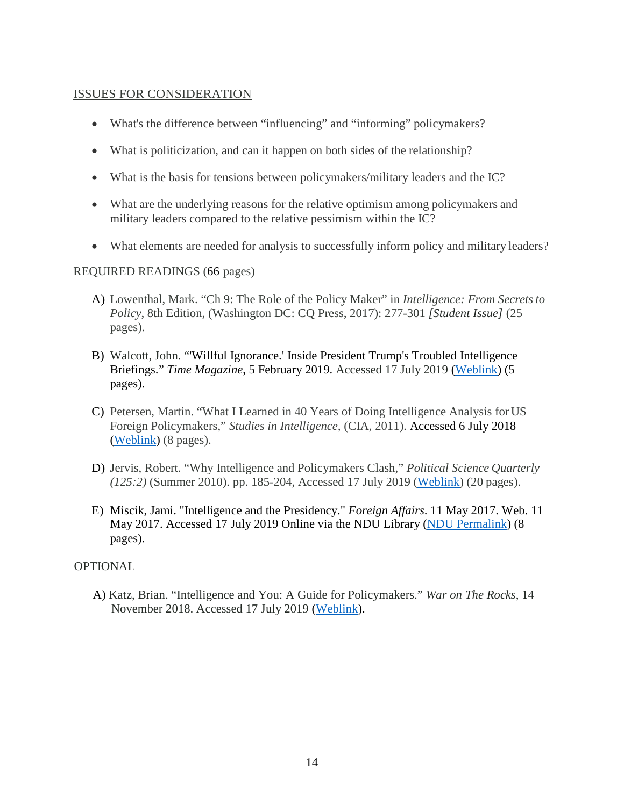#### ISSUES FOR CONSIDERATION

- What's the difference between "influencing" and "informing" policymakers?
- What is politicization, and can it happen on both sides of the relationship?
- What is the basis for tensions between policymakers/military leaders and the IC?
- What are the underlying reasons for the relative optimism among policymakers and military leaders compared to the relative pessimism within the IC?
- What elements are needed for analysis to successfully inform policy and military leaders?

#### REQUIRED READINGS (66 pages)

- A) Lowenthal, Mark. "Ch 9: The Role of the Policy Maker" in *Intelligence: From Secretsto Policy*, 8th Edition, (Washington DC: CQ Press, 2017): 277-301 *[Student Issue]* (25 pages).
- B) Walcott, John. "'Willful Ignorance.' Inside President Trump's Troubled Intelligence Briefings." *Time Magazine*, 5 February 2019. Accessed 17 July 2019 [\(Weblink\)](https://time.com/5518947/donald-trump-intelligence-briefings-national-security/) (5 pages).
- C) Petersen, Martin. "What I Learned in 40 Years of Doing Intelligence Analysis forUS Foreign Policymakers," *Studies in Intelligence,* (CIA, 2011). Accessed 6 July 2018 [\(Weblink\)](https://www.cia.gov/search?q=%E2%80%9CWhat%2BI%2BLearned%2Bin%2B40%2BYears%2Bof%2BDoing%2BIntelligence%2BAnalysis%2Bfor%2BUS%2BForeign%2BPolicymakers%2C%E2%80%9D%2B&site=CIA&output=xml_no_dtd&client=CIA&myAction=%2Fsearch&proxystylesheet=CIA&submitMethod=get) (8 pages).
- D) Jervis, Robert. "Why Intelligence and Policymakers Clash," *Political Science Quarterly (125:2)* (Summer 2010). pp. 185-204, Accessed 17 July 2019 [\(Weblink\)](http://www.psqonline.org/article.cfm?IDArticle=18584) (20 pages).
- E) Miscik, Jami. "Intelligence and the Presidency." *Foreign Affairs*. 11 May 2017. Web. 11 May 2017. Accessed 17 July 2019 Online via the NDU Library [\(NDU Permalink\)](https://www.foreignaffairs.com/articles/united-states/2017-04-17/intelligence-and-presidency) (8 pages).

#### OPTIONAL

A) Katz, Brian. "Intelligence and You: A Guide for Policymakers." *War on The Rocks*, 14 November 2018. Accessed 17 July 2019 [\(Weblink\)](https://warontherocks.com/2018/11/intelligence-and-you-a-guide-for-policymakers/).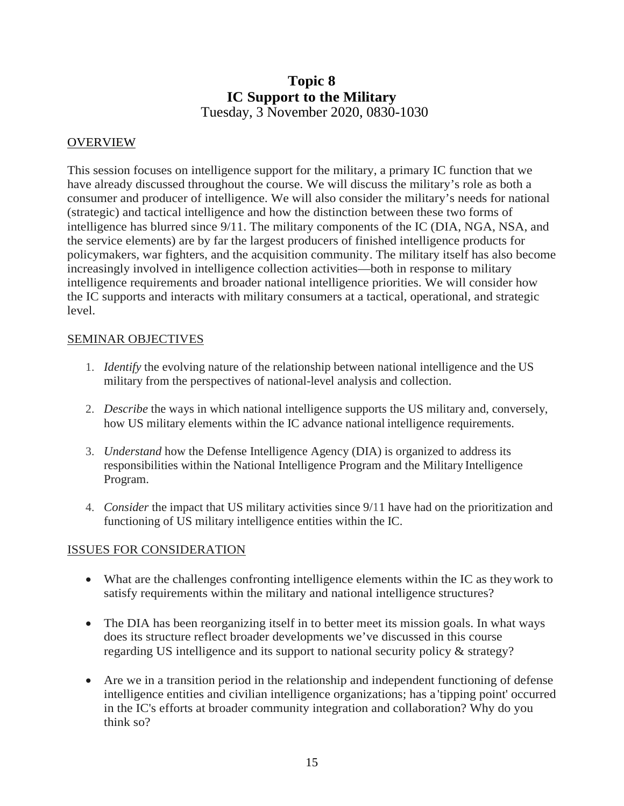### **Topic 8 IC Support to the Military** Tuesday, 3 November 2020, 0830-1030

#### OVERVIEW

This session focuses on intelligence support for the military, a primary IC function that we have already discussed throughout the course. We will discuss the military's role as both a consumer and producer of intelligence. We will also consider the military's needs for national (strategic) and tactical intelligence and how the distinction between these two forms of intelligence has blurred since 9/11. The military components of the IC (DIA, NGA, NSA, and the service elements) are by far the largest producers of finished intelligence products for policymakers, war fighters, and the acquisition community. The military itself has also become increasingly involved in intelligence collection activities—both in response to military intelligence requirements and broader national intelligence priorities. We will consider how the IC supports and interacts with military consumers at a tactical, operational, and strategic level.

#### SEMINAR OBJECTIVES

- 1. *Identify* the evolving nature of the relationship between national intelligence and the US military from the perspectives of national-level analysis and collection.
- 2. *Describe* the ways in which national intelligence supports the US military and, conversely, how US military elements within the IC advance national intelligence requirements.
- 3. *Understand* how the Defense Intelligence Agency (DIA) is organized to address its responsibilities within the National Intelligence Program and the Military Intelligence Program.
- 4. *Consider* the impact that US military activities since 9/11 have had on the prioritization and functioning of US military intelligence entities within the IC.

#### ISSUES FOR CONSIDERATION

- What are the challenges confronting intelligence elements within the IC as they work to satisfy requirements within the military and national intelligence structures?
- The DIA has been reorganizing itself in to better meet its mission goals. In what ways does its structure reflect broader developments we've discussed in this course regarding US intelligence and its support to national security policy & strategy?
- Are we in a transition period in the relationship and independent functioning of defense intelligence entities and civilian intelligence organizations; has a 'tipping point' occurred in the IC's efforts at broader community integration and collaboration? Why do you think so?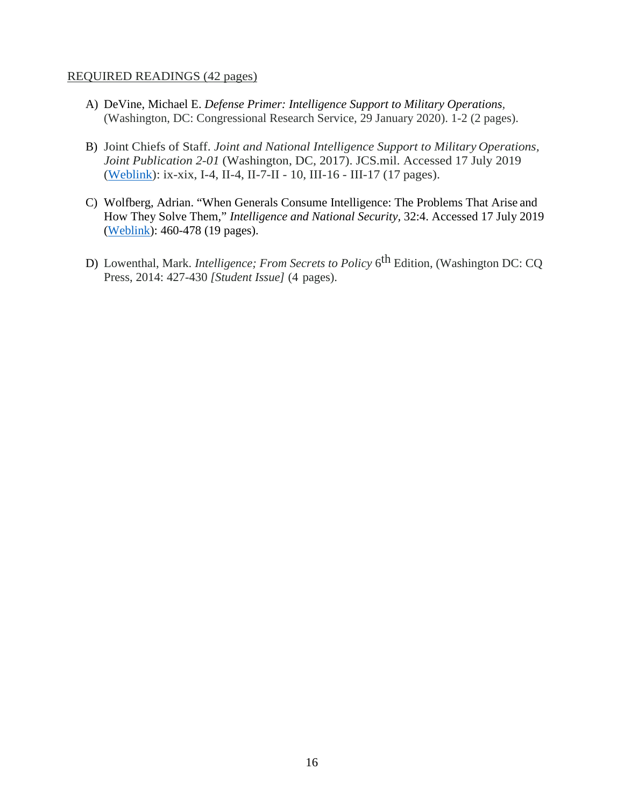#### REQUIRED READINGS (42 pages)

- A) DeVine, Michael E. *Defense Primer: Intelligence Support to Military Operations,* (Washington, DC: Congressional Research Service, 29 January 2020). 1-2 (2 pages).
- B) Joint Chiefs of Staff. *Joint and National Intelligence Support to Military Operations, Joint Publication 2-01* (Washington, DC, 2017). JCS.mil. Accessed 17 July 2019 [\(Weblink\)](https://www.jcs.mil/Portals/36/Documents/Doctrine/pubs/jp2_01_20170705v2.pdf): ix-xix, I-4, II-4, II-7-II - 10, III-16 - III-17 (17 pages).
- C) Wolfberg, Adrian. "When Generals Consume Intelligence: The Problems That Arise and How They Solve Them," *Intelligence and National Security,* 32:4. Accessed 17 July 2019 [\(Weblink\)](http://www.tandfonline.com/doi/full/10.1080/02684527.2016.1268359): 460-478 (19 pages).
- D) Lowenthal, Mark. *Intelligence; From Secrets to Policy* 6th Edition, (Washington DC: CQ Press, 2014: 427-430 *[Student Issue]* (4 pages).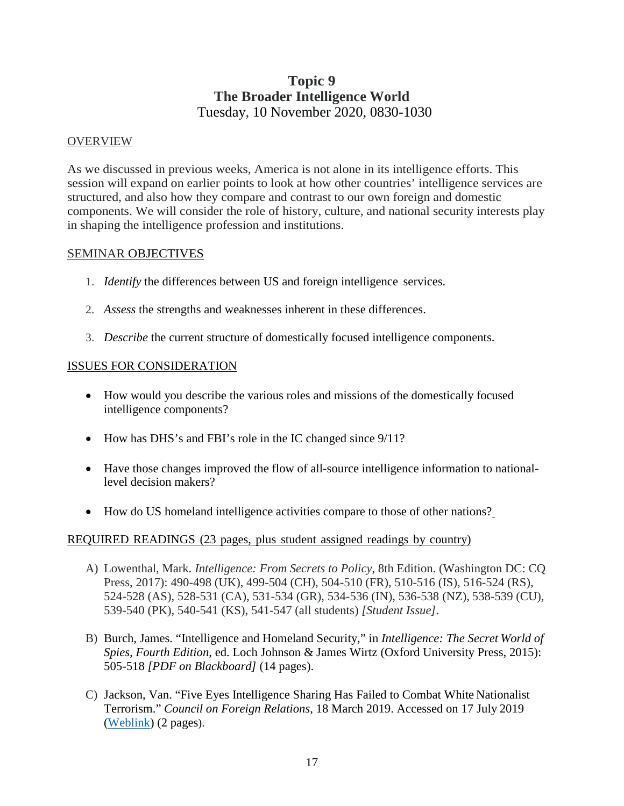### **Topic 9 The Broader Intelligence World** Tuesday, 10 November 2020, 0830-1030

#### OVERVIEW

As we discussed in previous weeks, America is not alone in its intelligence efforts. This session will expand on earlier points to look at how other countries' intelligence services are structured, and also how they compare and contrast to our own foreign and domestic components. We will consider the role of history, culture, and national security interests play in shaping the intelligence profession and institutions.

#### SEMINAR OBJECTIVES

- 1. *Identify* the differences between US and foreign intelligence services.
- 2. *Assess* the strengths and weaknesses inherent in these differences.
- 3. *Describe* the current structure of domestically focused intelligence components.

#### ISSUES FOR CONSIDERATION

- How would you describe the various roles and missions of the domestically focused intelligence components?
- How has DHS's and FBI's role in the IC changed since  $9/11$ ?
- Have those changes improved the flow of all-source intelligence information to nationallevel decision makers?
- How do US homeland intelligence activities compare to those of other nations?

#### REQUIRED READINGS (23 pages, plus student assigned readings by country)

- A) Lowenthal, Mark. *Intelligence: From Secrets to Policy*, 8th Edition. (Washington DC: CQ Press, 2017): 490-498 (UK), 499-504 (CH), 504-510 (FR), 510-516 (IS), 516-524 (RS), 524-528 (AS), 528-531 (CA), 531-534 (GR), 534-536 (IN), 536-538 (NZ), 538-539 (CU), 539-540 (PK), 540-541 (KS), 541-547 (all students) *[Student Issue]*.
- B) Burch, James. "Intelligence and Homeland Security," in *Intelligence: The Secret World of Spies, Fourth Edition*, ed. Loch Johnson & James Wirtz (Oxford University Press, 2015): 505-518 *[PDF on Blackboard]* (14 pages).
- C) Jackson, Van. "Five Eyes Intelligence Sharing Has Failed to Combat White Nationalist Terrorism." *Council on Foreign Relations*, 18 March 2019. Accessed on 17 July 2019 [\(Weblink\)](https://www.cfr.org/blog/five-eyes-intelligence-sharing-has-failed-combat-white-nationalist-terrorism) (2 pages).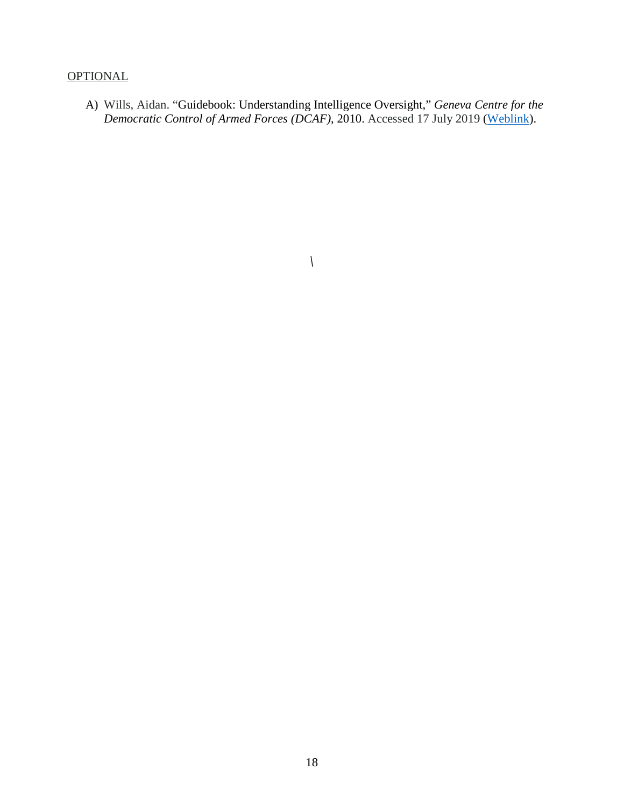#### **OPTIONAL**

A) Wills, Aidan. "Guidebook: Understanding Intelligence Oversight," *Geneva Centre for the Democratic Control of Armed Forces (DCAF)*, 2010. Accessed 17 July 2019 [\(Weblink\)](https://www.dcaf.ch/sites/default/files/publications/documents/IntelligenceOversight_en.pdf).

*\*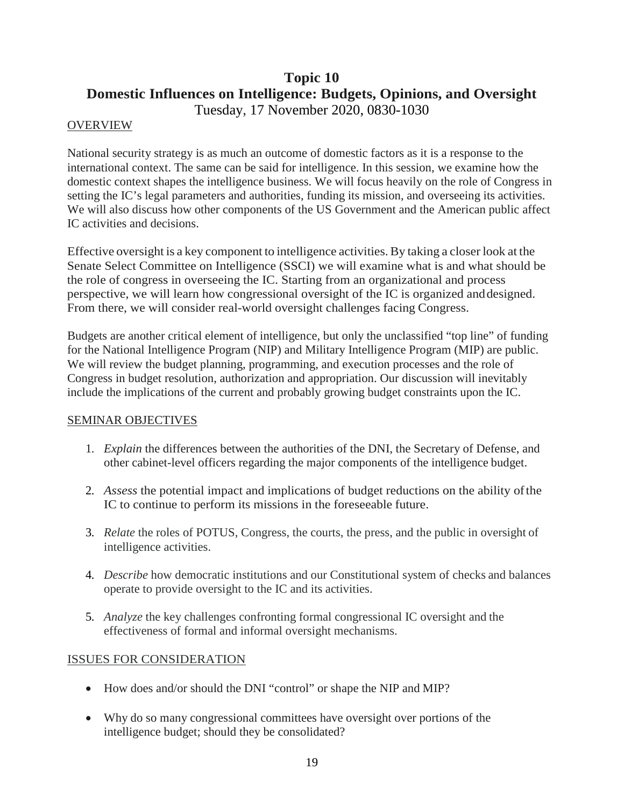## **Topic 10 Domestic Influences on Intelligence: Budgets, Opinions, and Oversight** Tuesday, 17 November 2020, 0830-1030

#### **OVERVIEW**

National security strategy is as much an outcome of domestic factors as it is a response to the international context. The same can be said for intelligence. In this session, we examine how the domestic context shapes the intelligence business. We will focus heavily on the role of Congress in setting the IC's legal parameters and authorities, funding its mission, and overseeing its activities. We will also discuss how other components of the US Government and the American public affect IC activities and decisions.

Effective oversight is a key component to intelligence activities.By taking a closer look at the Senate Select Committee on Intelligence (SSCI) we will examine what is and what should be the role of congress in overseeing the IC. Starting from an organizational and process perspective, we will learn how congressional oversight of the IC is organized anddesigned. From there, we will consider real-world oversight challenges facing Congress.

Budgets are another critical element of intelligence, but only the unclassified "top line" of funding for the National Intelligence Program (NIP) and Military Intelligence Program (MIP) are public. We will review the budget planning, programming, and execution processes and the role of Congress in budget resolution, authorization and appropriation. Our discussion will inevitably include the implications of the current and probably growing budget constraints upon the IC.

#### SEMINAR OBJECTIVES

- 1. *Explain* the differences between the authorities of the DNI, the Secretary of Defense, and other cabinet-level officers regarding the major components of the intelligence budget.
- 2. *Assess* the potential impact and implications of budget reductions on the ability ofthe IC to continue to perform its missions in the foreseeable future.
- 3. *Relate* the roles of POTUS, Congress, the courts, the press, and the public in oversight of intelligence activities.
- 4. *Describe* how democratic institutions and our Constitutional system of checks and balances operate to provide oversight to the IC and its activities.
- 5. *Analyze* the key challenges confronting formal congressional IC oversight and the effectiveness of formal and informal oversight mechanisms.

#### ISSUES FOR CONSIDERATION

- How does and/or should the DNI "control" or shape the NIP and MIP?
- Why do so many congressional committees have oversight over portions of the intelligence budget; should they be consolidated?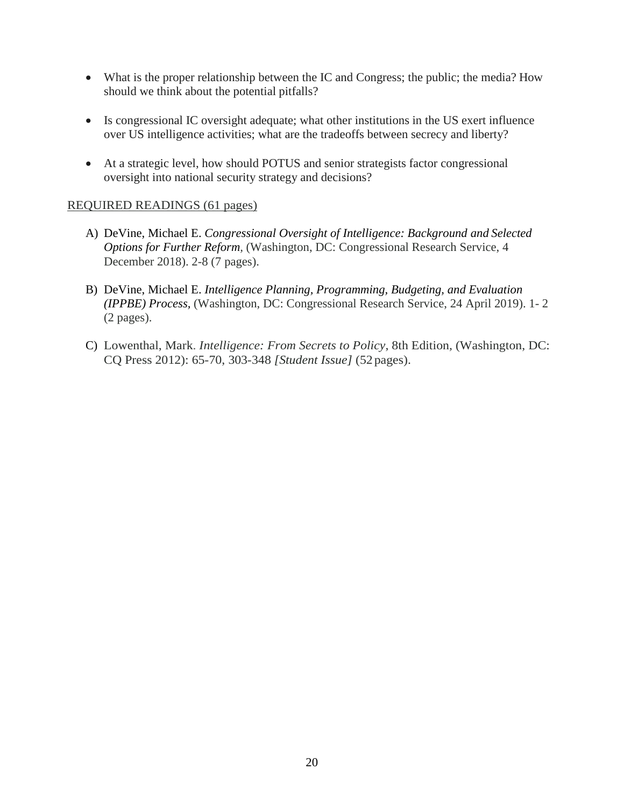- What is the proper relationship between the IC and Congress; the public; the media? How should we think about the potential pitfalls?
- Is congressional IC oversight adequate; what other institutions in the US exert influence over US intelligence activities; what are the tradeoffs between secrecy and liberty?
- At a strategic level, how should POTUS and senior strategists factor congressional oversight into national security strategy and decisions?

#### REQUIRED READINGS (61 pages)

- A) DeVine, Michael E. *Congressional Oversight of Intelligence: Background and Selected Options for Further Reform,* (Washington, DC: Congressional Research Service, 4 December 2018). 2-8 (7 pages).
- B) DeVine, Michael E. *Intelligence Planning, Programming, Budgeting, and Evaluation (IPPBE) Process,* (Washington, DC: Congressional Research Service, 24 April 2019). 1- 2 (2 pages).
- C) Lowenthal, Mark. *Intelligence: From Secrets to Policy*, 8th Edition*,* (Washington, DC: CQ Press 2012): 65-70, 303-348 *[Student Issue]* (52 pages).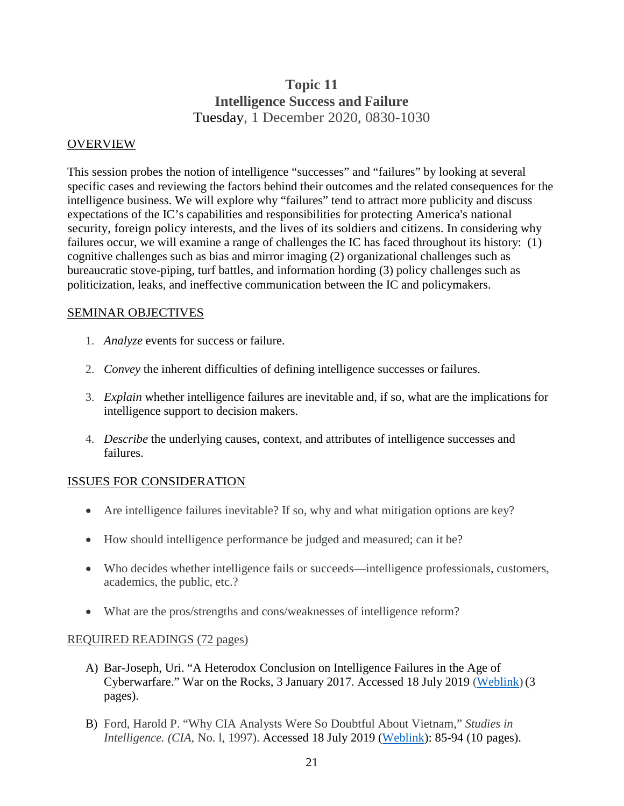## **Topic 11 Intelligence Success and Failure** Tuesday, 1 December 2020, 0830-1030

#### OVERVIEW

This session probes the notion of intelligence "successes" and "failures" by looking at several specific cases and reviewing the factors behind their outcomes and the related consequences for the intelligence business. We will explore why "failures" tend to attract more publicity and discuss expectations of the IC's capabilities and responsibilities for protecting America's national security, foreign policy interests, and the lives of its soldiers and citizens. In considering why failures occur, we will examine a range of challenges the IC has faced throughout its history: (1) cognitive challenges such as bias and mirror imaging (2) organizational challenges such as bureaucratic stove-piping, turf battles, and information hording (3) policy challenges such as politicization, leaks, and ineffective communication between the IC and policymakers.

#### SEMINAR OBJECTIVES

- 1. *Analyze* events for success or failure.
- 2. *Convey* the inherent difficulties of defining intelligence successes or failures.
- 3. *Explain* whether intelligence failures are inevitable and, if so, what are the implications for intelligence support to decision makers.
- 4. *Describe* the underlying causes, context, and attributes of intelligence successes and failures.

#### ISSUES FOR CONSIDERATION

- Are intelligence failures inevitable? If so, why and what mitigation options are key?
- How should intelligence performance be judged and measured; can it be?
- Who decides whether intelligence fails or succeeds—intelligence professionals, customers, academics, the public, etc.?
- What are the pros/strengths and cons/weaknesses of intelligence reform?

#### REQUIRED READINGS (72 pages)

- A) Bar-Joseph, Uri. "A Heterodox Conclusion on Intelligence Failures in the Age of Cyberwarfare." War on the Rocks, 3 January 2017. Accessed 18 July 2019 [\(Weblink\)](https://warontherocks.com/2017/01/a-heterodox-conclusion-on-intelligence-failures-in-the-age-of-cyberwarfare/) (3 pages).
- B) Ford, Harold P. "Why CIA Analysts Were So Doubtful About Vietnam," *Studies in Intelligence. (CIA,* No. l, 1997). Accessed 18 July 2019 [\(Weblink\)](https://www.cia.gov/library/center-for-the-study-of-intelligence/kent-csi/vol40no5/pdf/v40i5a10p.pdf): 85-94 (10 pages).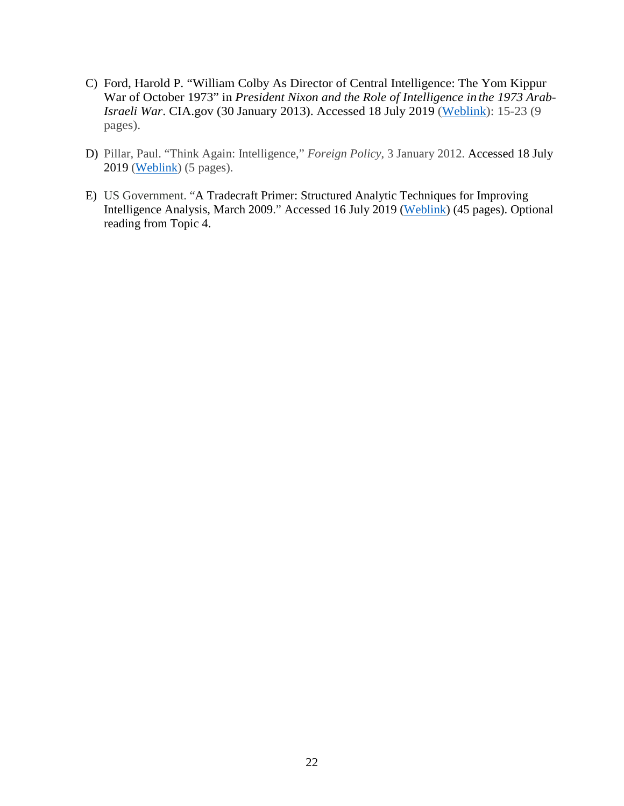- C) Ford, Harold P. "William Colby As Director of Central Intelligence: The Yom Kippur War of October 1973" in *President Nixon and the Role of Intelligence in the 1973 Arab-Israeli War*. CIA.gov (30 January 2013). Accessed 18 July 2019 [\(Weblink\)](https://www.cia.gov/library/publications/international-relations/arab-israeli-war/nixon-arab-isaeli-war.pdf): 15-23 (9 pages).
- D) Pillar, Paul. "Think Again: Intelligence," *Foreign Policy*, 3 January 2012. Accessed 18 July 2019 [\(Weblink\)](http://foreignpolicy.com/2012/01/03/think-again-intelligence/) (5 pages).
- E) US Government. "A Tradecraft Primer: Structured Analytic Techniques for Improving Intelligence Analysis, March 2009." Accessed 16 July 2019 [\(Weblink\)](https://www.cia.gov/library/center-for-the-study-of-intelligence/csi-publications/books-and-monographs/Tradecraft%20Primer-apr09.pdf) (45 pages). Optional reading from Topic 4.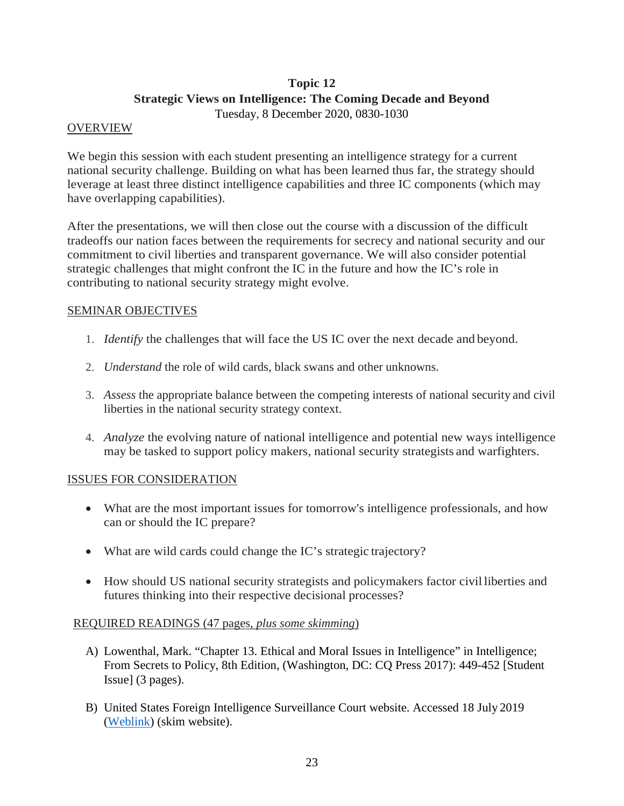## **Topic 12 Strategic Views on Intelligence: The Coming Decade and Beyond**

Tuesday, 8 December 2020, 0830-1030

#### **OVERVIEW**

We begin this session with each student presenting an intelligence strategy for a current national security challenge. Building on what has been learned thus far, the strategy should leverage at least three distinct intelligence capabilities and three IC components (which may have overlapping capabilities).

After the presentations, we will then close out the course with a discussion of the difficult tradeoffs our nation faces between the requirements for secrecy and national security and our commitment to civil liberties and transparent governance. We will also consider potential strategic challenges that might confront the IC in the future and how the IC's role in contributing to national security strategy might evolve.

#### SEMINAR OBJECTIVES

- 1. *Identify* the challenges that will face the US IC over the next decade and beyond.
- 2. *Understand* the role of wild cards, black swans and other unknowns.
- 3. *Assess* the appropriate balance between the competing interests of national security and civil liberties in the national security strategy context.
- 4. *Analyze* the evolving nature of national intelligence and potential new ways intelligence may be tasked to support policy makers, national security strategists and warfighters.

#### ISSUES FOR CONSIDERATION

- What are the most important issues for tomorrow's intelligence professionals, and how can or should the IC prepare?
- What are wild cards could change the IC's strategic trajectory?
- How should US national security strategists and policymakers factor civil liberties and futures thinking into their respective decisional processes?

#### REQUIRED READINGS (47 pages, *plus some skimming*)

- A) Lowenthal, Mark. "Chapter 13. Ethical and Moral Issues in Intelligence" in Intelligence; From Secrets to Policy, 8th Edition, (Washington, DC: CQ Press 2017): 449-452 [Student Issue] (3 pages).
- B) United States Foreign Intelligence Surveillance Court website. Accessed 18 July 2019 [\(Weblink\)](https://www.fisc.uscourts.gov/) (skim website).